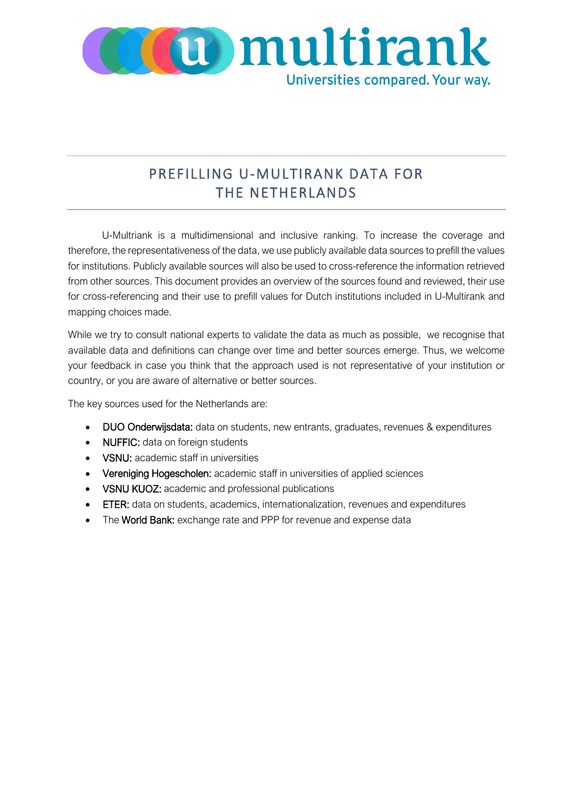

# PREFILLING U-MULTIRANK DATA FOR THE NETHERLANDS

U-Multriank is a multidimensional and inclusive ranking. To increase the coverage and therefore, the representativeness of the data, we use publicly available data sources to prefill the values for institutions. Publicly available sources will also be used to cross-reference the information retrieved from other sources. This document provides an overview of the sources found and reviewed, their use for cross-referencing and their use to prefill values for Dutch institutions included in U-Multirank and mapping choices made.

While we try to consult national experts to validate the data as much as possible, we recognise that available data and definitions can change over time and better sources emerge. Thus, we welcome your feedback in case you think that the approach used is not representative of your institution or country, or you are aware of alternative or better sources.

The key sources used for the Netherlands are:

- DUO Onderwijsdata: data on students, new entrants, graduates, revenues & expenditures
- NUFFIC: data on foreign students
- VSNU: academic staff in universities
- Vereniging Hogescholen: academic staff in universities of applied sciences
- VSNU KUOZ: academic and professional publications
- ETER: data on students, academics, internationalization, revenues and expenditures
- The World Bank: exchange rate and PPP for revenue and expense data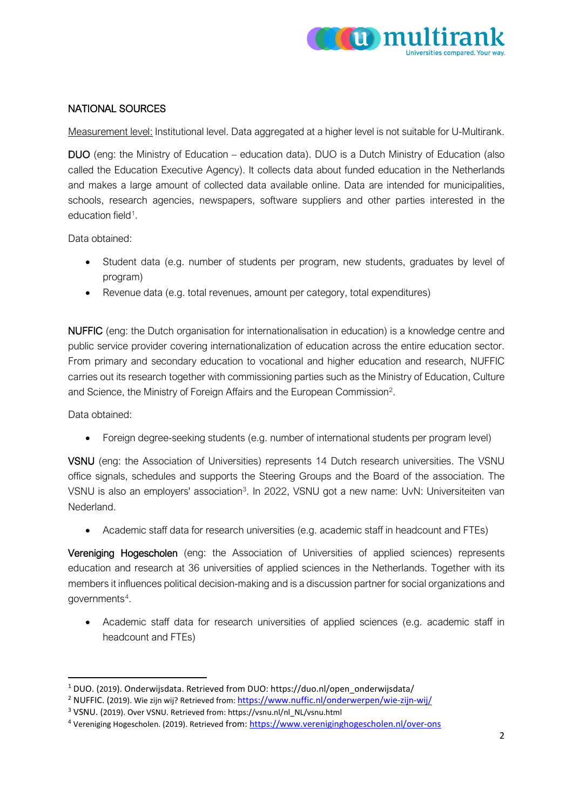

#### NATIONAL SOURCES

Measurement level: Institutional level. Data aggregated at a higher level is not suitable for U-Multirank.

DUO (eng: the Ministry of Education – education data). DUO is a Dutch Ministry of Education (also called the Education Executive Agency). It collects data about funded education in the Netherlands and makes a large amount of collected data available online. Data are intended for municipalities, schools, research agencies, newspapers, software suppliers and other parties interested in the education field<sup>[1](#page-1-0)</sup>.

Data obtained:

- Student data (e.g. number of students per program, new students, graduates by level of program)
- Revenue data (e.g. total revenues, amount per category, total expenditures)

NUFFIC (eng: the Dutch organisation for internationalisation in education) is a knowledge centre and public service provider covering internationalization of education across the entire education sector. From primary and secondary education to vocational and higher education and research, NUFFIC carries out its research together with commissioning parties such as the Ministry of Education, Culture and Science, the Ministry of Foreign Affairs and the European Commission<sup>[2](#page-1-1)</sup>.

Data obtained:

• Foreign degree-seeking students (e.g. number of international students per program level)

VSNU (eng: the Association of Universities) represents 14 Dutch research universities. The VSNU office signals, schedules and supports the Steering Groups and the Board of the association. The VSNU is also an employers' association<sup>3</sup>. In 2022, VSNU got a new name: UvN: Universiteiten van Nederland.

• Academic staff data for research universities (e.g. academic staff in headcount and FTEs)

Vereniging Hogescholen (eng: the Association of Universities of applied sciences) represents education and research at 36 universities of applied sciences in the Netherlands. Together with its members it influences political decision-making and is a discussion partner for social organizations and governments[4.](#page-1-3)

• Academic staff data for research universities of applied sciences (e.g. academic staff in headcount and FTEs)

<span id="page-1-0"></span><sup>1</sup> DUO. (2019). Onderwijsdata. Retrieved from DUO: https://duo.nl/open\_onderwijsdata/

<span id="page-1-1"></span><sup>2</sup> NUFFIC. (2019). Wie zijn wij? Retrieved from:<https://www.nuffic.nl/onderwerpen/wie-zijn-wij/>

<span id="page-1-2"></span><sup>3</sup> VSNU. (2019). Over VSNU. Retrieved from: https://vsnu.nl/nl\_NL/vsnu.html

<span id="page-1-3"></span><sup>4</sup> Vereniging Hogescholen. (2019). Retrieved from[: https://www.vereniginghogescholen.nl/over-ons](https://www.vereniginghogescholen.nl/over-ons)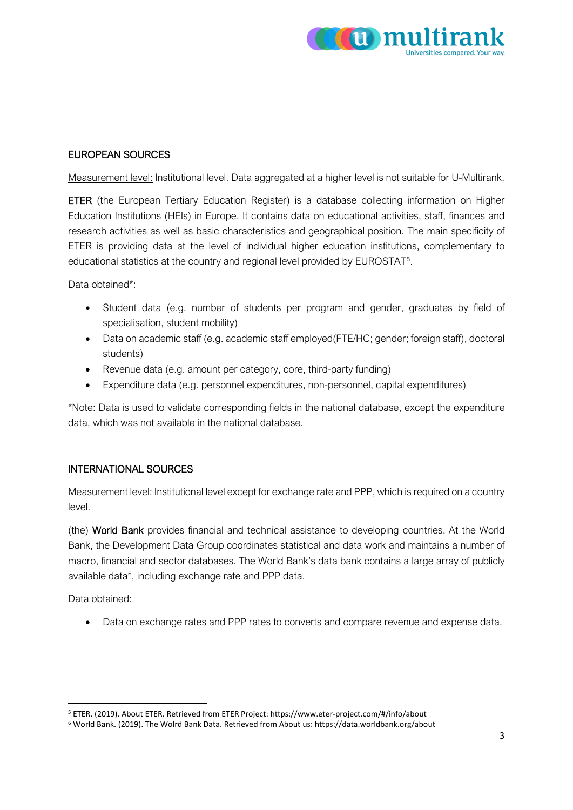

#### EUROPEAN SOURCES

Measurement level: Institutional level. Data aggregated at a higher level is not suitable for U-Multirank.

ETER (the European Tertiary Education Register) is a database collecting information on Higher Education Institutions (HEIs) in Europe. It contains data on educational activities, staff, finances and research activities as well as basic characteristics and geographical position. The main specificity of ETER is providing data at the level of individual higher education institutions, complementary to educational statistics at the country and regional level provided by EUROSTAT[5](#page-2-0).

Data obtained\*<sup>\*</sup>

- Student data (e.g. number of students per program and gender, graduates by field of specialisation, student mobility)
- Data on academic staff (e.g. academic staff employed(FTE/HC; gender; foreign staff), doctoral students)
- Revenue data (e.g. amount per category, core, third-party funding)
- Expenditure data (e.g. personnel expenditures, non-personnel, capital expenditures)

\*Note: Data is used to validate corresponding fields in the national database, except the expenditure data, which was not available in the national database.

### INTERNATIONAL SOURCES

Measurement level: Institutional level except for exchange rate and PPP, which is required on a country level.

(the) World Bank provides financial and technical assistance to developing countries. At the World Bank, the Development Data Group coordinates statistical and data work and maintains a number of macro, financial and sector databases. The World Bank's data bank contains a large array of publicly available data<sup>6</sup>, including exchange rate and PPP data.

Data obtained:

• Data on exchange rates and PPP rates to converts and compare revenue and expense data.

<span id="page-2-0"></span><sup>5</sup> ETER. (2019). About ETER. Retrieved from ETER Project: https://www.eter-project.com/#/info/about

<span id="page-2-1"></span><sup>6</sup> World Bank. (2019). The Wolrd Bank Data. Retrieved from About us: https://data.worldbank.org/about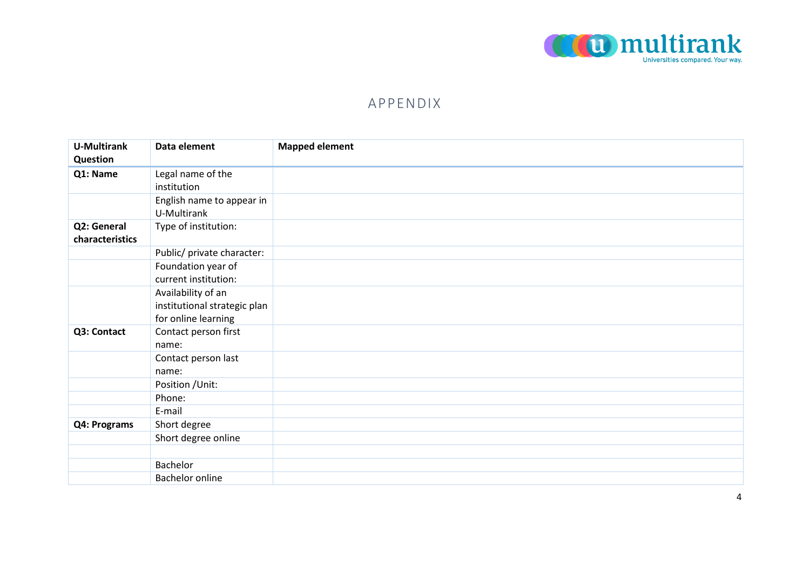

## APPENDIX

| <b>U-Multirank</b> | Data element                 | <b>Mapped element</b> |
|--------------------|------------------------------|-----------------------|
| Question           |                              |                       |
| Q1: Name           | Legal name of the            |                       |
|                    | institution                  |                       |
|                    | English name to appear in    |                       |
|                    | U-Multirank                  |                       |
| Q2: General        | Type of institution:         |                       |
| characteristics    |                              |                       |
|                    | Public/ private character:   |                       |
|                    | Foundation year of           |                       |
|                    | current institution:         |                       |
|                    | Availability of an           |                       |
|                    | institutional strategic plan |                       |
|                    | for online learning          |                       |
| Q3: Contact        | Contact person first         |                       |
|                    | name:                        |                       |
|                    | Contact person last          |                       |
|                    | name:                        |                       |
|                    | Position / Unit:             |                       |
|                    | Phone:                       |                       |
|                    | E-mail                       |                       |
| Q4: Programs       | Short degree                 |                       |
|                    | Short degree online          |                       |
|                    |                              |                       |
|                    | Bachelor                     |                       |
|                    | <b>Bachelor online</b>       |                       |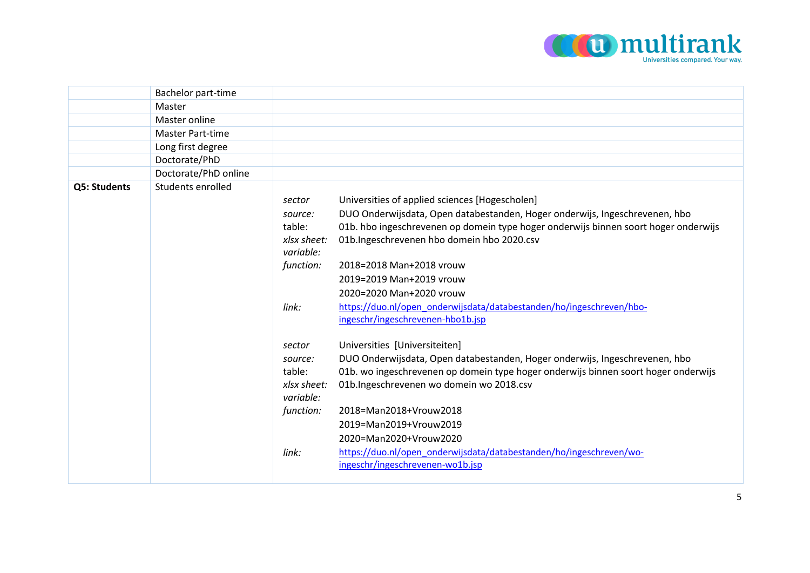

|              | Bachelor part-time      |             |                                                                                     |
|--------------|-------------------------|-------------|-------------------------------------------------------------------------------------|
|              | Master                  |             |                                                                                     |
|              | Master online           |             |                                                                                     |
|              | <b>Master Part-time</b> |             |                                                                                     |
|              | Long first degree       |             |                                                                                     |
|              | Doctorate/PhD           |             |                                                                                     |
|              | Doctorate/PhD online    |             |                                                                                     |
| Q5: Students | Students enrolled       |             |                                                                                     |
|              |                         | sector      | Universities of applied sciences [Hogescholen]                                      |
|              |                         | source:     | DUO Onderwijsdata, Open databestanden, Hoger onderwijs, Ingeschrevenen, hbo         |
|              |                         | table:      | 01b. hbo ingeschrevenen op domein type hoger onderwijs binnen soort hoger onderwijs |
|              |                         | xlsx sheet: | 01b.Ingeschrevenen hbo domein hbo 2020.csv                                          |
|              |                         | variable:   |                                                                                     |
|              |                         | function:   | 2018=2018 Man+2018 vrouw                                                            |
|              |                         |             | 2019=2019 Man+2019 vrouw                                                            |
|              |                         |             | 2020=2020 Man+2020 vrouw                                                            |
|              |                         | link:       | https://duo.nl/open_onderwijsdata/databestanden/ho/ingeschreven/hbo-                |
|              |                         |             | ingeschr/ingeschrevenen-hbo1b.jsp                                                   |
|              |                         | sector      | Universities [Universiteiten]                                                       |
|              |                         | source:     | DUO Onderwijsdata, Open databestanden, Hoger onderwijs, Ingeschrevenen, hbo         |
|              |                         | table:      | 01b. wo ingeschrevenen op domein type hoger onderwijs binnen soort hoger onderwijs  |
|              |                         | xlsx sheet: | 01b.Ingeschrevenen wo domein wo 2018.csv                                            |
|              |                         | variable:   |                                                                                     |
|              |                         | function:   | 2018=Man2018+Vrouw2018                                                              |
|              |                         |             | 2019=Man2019+Vrouw2019                                                              |
|              |                         |             | 2020=Man2020+Vrouw2020                                                              |
|              |                         | link:       | https://duo.nl/open_onderwijsdata/databestanden/ho/ingeschreven/wo-                 |
|              |                         |             | ingeschr/ingeschrevenen-wo1b.jsp                                                    |
|              |                         |             |                                                                                     |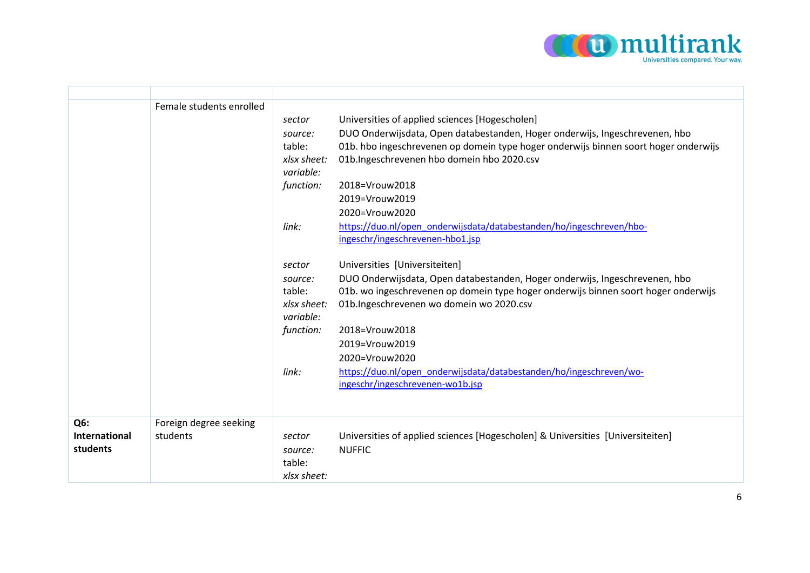

|                                  | Female students enrolled           | sector<br>source:<br>table:<br>xlsx sheet:<br>variable:<br>function:<br>link: | Universities of applied sciences [Hogescholen]<br>DUO Onderwijsdata, Open databestanden, Hoger onderwijs, Ingeschrevenen, hbo<br>01b. hbo ingeschrevenen op domein type hoger onderwijs binnen soort hoger onderwijs<br>01b.Ingeschrevenen hbo domein hbo 2020.csv<br>2018=Vrouw2018<br>2019=Vrouw2019<br>2020=Vrouw2020<br>https://duo.nl/open_onderwijsdata/databestanden/ho/ingeschreven/hbo-<br>ingeschr/ingeschrevenen-hbo1.jsp |
|----------------------------------|------------------------------------|-------------------------------------------------------------------------------|--------------------------------------------------------------------------------------------------------------------------------------------------------------------------------------------------------------------------------------------------------------------------------------------------------------------------------------------------------------------------------------------------------------------------------------|
|                                  |                                    | sector<br>source:<br>table:<br>xlsx sheet:<br>variable:<br>function:          | Universities [Universiteiten]<br>DUO Onderwijsdata, Open databestanden, Hoger onderwijs, Ingeschrevenen, hbo<br>01b. wo ingeschrevenen op domein type hoger onderwijs binnen soort hoger onderwijs<br>01b.Ingeschrevenen wo domein wo 2020.csv<br>2018=Vrouw2018<br>2019=Vrouw2019<br>2020=Vrouw2020                                                                                                                                 |
|                                  |                                    | link:                                                                         | https://duo.nl/open_onderwijsdata/databestanden/ho/ingeschreven/wo-<br>ingeschr/ingeschrevenen-wo1b.jsp                                                                                                                                                                                                                                                                                                                              |
| Q6:<br>International<br>students | Foreign degree seeking<br>students | sector<br>source:<br>table:<br>xlsx sheet:                                    | Universities of applied sciences [Hogescholen] & Universities [Universiteiten]<br><b>NUFFIC</b>                                                                                                                                                                                                                                                                                                                                      |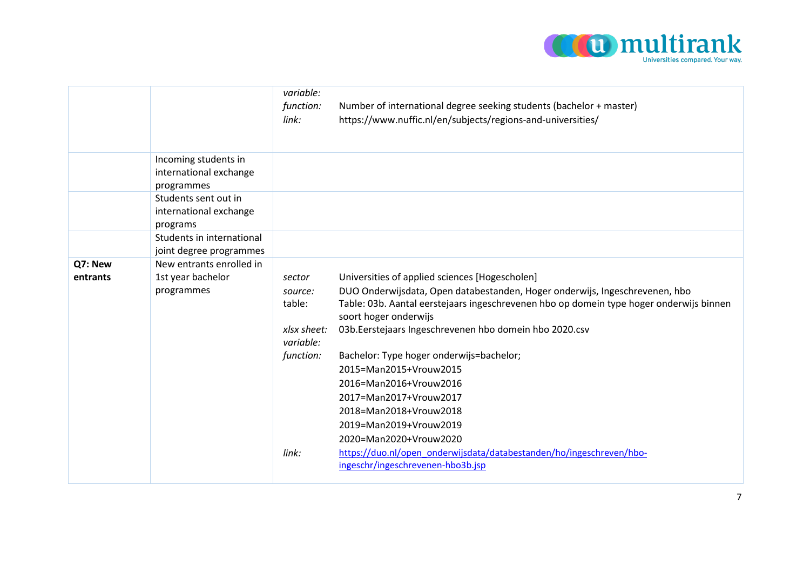

|                     |                                                              | variable:<br>function:<br>link:                                      | Number of international degree seeking students (bachelor + master)<br>https://www.nuffic.nl/en/subjects/regions-and-universities/                                                                                                                                                                                                                                                 |
|---------------------|--------------------------------------------------------------|----------------------------------------------------------------------|------------------------------------------------------------------------------------------------------------------------------------------------------------------------------------------------------------------------------------------------------------------------------------------------------------------------------------------------------------------------------------|
|                     | Incoming students in<br>international exchange<br>programmes |                                                                      |                                                                                                                                                                                                                                                                                                                                                                                    |
|                     | Students sent out in<br>international exchange<br>programs   |                                                                      |                                                                                                                                                                                                                                                                                                                                                                                    |
|                     | Students in international<br>joint degree programmes         |                                                                      |                                                                                                                                                                                                                                                                                                                                                                                    |
| Q7: New<br>entrants | New entrants enrolled in<br>1st year bachelor<br>programmes  | sector<br>source:<br>table:<br>xlsx sheet:<br>variable:<br>function: | Universities of applied sciences [Hogescholen]<br>DUO Onderwijsdata, Open databestanden, Hoger onderwijs, Ingeschrevenen, hbo<br>Table: 03b. Aantal eerstejaars ingeschrevenen hbo op domein type hoger onderwijs binnen<br>soort hoger onderwijs<br>03b. Eerstejaars Ingeschrevenen hbo domein hbo 2020.csv<br>Bachelor: Type hoger onderwijs=bachelor;<br>2015=Man2015+Vrouw2015 |
|                     |                                                              | link:                                                                | 2016=Man2016+Vrouw2016<br>2017=Man2017+Vrouw2017<br>2018=Man2018+Vrouw2018<br>2019=Man2019+Vrouw2019<br>2020=Man2020+Vrouw2020<br>https://duo.nl/open_onderwijsdata/databestanden/ho/ingeschreven/hbo-<br>ingeschr/ingeschrevenen-hbo3b.jsp                                                                                                                                        |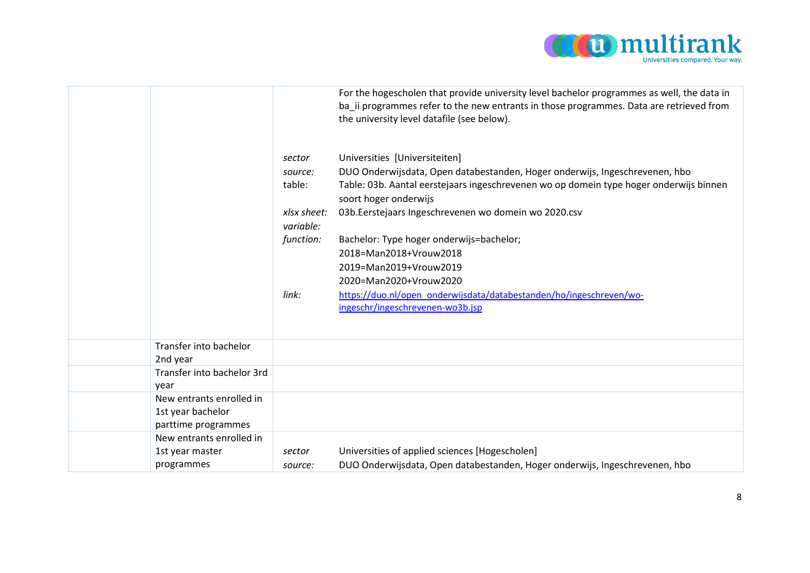

|                                                                      |                             | For the hogescholen that provide university level bachelor programmes as well, the data in<br>ba ii programmes refer to the new entrants in those programmes. Data are retrieved from<br>the university level datafile (see below). |
|----------------------------------------------------------------------|-----------------------------|-------------------------------------------------------------------------------------------------------------------------------------------------------------------------------------------------------------------------------------|
|                                                                      | sector<br>source:<br>table: | Universities [Universiteiten]<br>DUO Onderwijsdata, Open databestanden, Hoger onderwijs, Ingeschrevenen, hbo<br>Table: 03b. Aantal eerstejaars ingeschrevenen wo op domein type hoger onderwijs binnen                              |
|                                                                      | xlsx sheet:<br>variable:    | soort hoger onderwijs<br>03b. Eerstejaars Ingeschrevenen wo domein wo 2020.csv                                                                                                                                                      |
|                                                                      | function:                   | Bachelor: Type hoger onderwijs=bachelor;<br>2018=Man2018+Vrouw2018                                                                                                                                                                  |
|                                                                      | link:                       | 2019=Man2019+Vrouw2019<br>2020=Man2020+Vrouw2020<br>https://duo.nl/open onderwijsdata/databestanden/ho/ingeschreven/wo-                                                                                                             |
|                                                                      |                             | ingeschr/ingeschrevenen-wo3b.jsp                                                                                                                                                                                                    |
| Transfer into bachelor                                               |                             |                                                                                                                                                                                                                                     |
| 2nd year                                                             |                             |                                                                                                                                                                                                                                     |
| Transfer into bachelor 3rd<br>year                                   |                             |                                                                                                                                                                                                                                     |
| New entrants enrolled in<br>1st year bachelor<br>parttime programmes |                             |                                                                                                                                                                                                                                     |
| New entrants enrolled in                                             |                             |                                                                                                                                                                                                                                     |
| 1st year master                                                      | sector                      | Universities of applied sciences [Hogescholen]                                                                                                                                                                                      |
| programmes                                                           | source:                     | DUO Onderwijsdata, Open databestanden, Hoger onderwijs, Ingeschrevenen, hbo                                                                                                                                                         |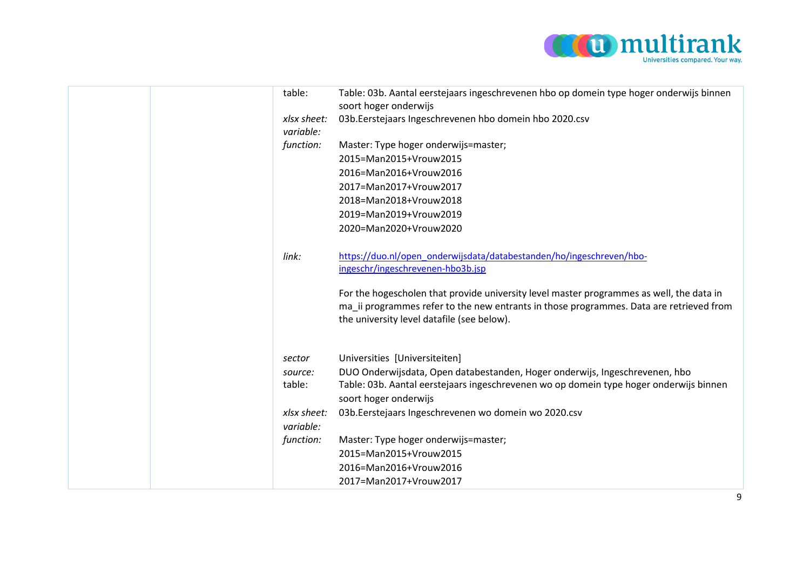

|  | table:                   | Table: 03b. Aantal eerstejaars ingeschrevenen hbo op domein type hoger onderwijs binnen<br>soort hoger onderwijs |
|--|--------------------------|------------------------------------------------------------------------------------------------------------------|
|  | xlsx sheet:<br>variable: | 03b. Eerstejaars Ingeschrevenen hbo domein hbo 2020.csv                                                          |
|  | function:                | Master: Type hoger onderwijs=master;                                                                             |
|  |                          | 2015=Man2015+Vrouw2015                                                                                           |
|  |                          | 2016=Man2016+Vrouw2016                                                                                           |
|  |                          | 2017=Man2017+Vrouw2017                                                                                           |
|  |                          | 2018=Man2018+Vrouw2018                                                                                           |
|  |                          | 2019=Man2019+Vrouw2019                                                                                           |
|  |                          | 2020=Man2020+Vrouw2020                                                                                           |
|  |                          |                                                                                                                  |
|  | link:                    | https://duo.nl/open_onderwijsdata/databestanden/ho/ingeschreven/hbo-                                             |
|  |                          | ingeschr/ingeschrevenen-hbo3b.jsp                                                                                |
|  |                          |                                                                                                                  |
|  |                          | For the hogescholen that provide university level master programmes as well, the data in                         |
|  |                          | ma ii programmes refer to the new entrants in those programmes. Data are retrieved from                          |
|  |                          | the university level datafile (see below).                                                                       |
|  |                          |                                                                                                                  |
|  | sector                   | Universities [Universiteiten]                                                                                    |
|  | source:                  | DUO Onderwijsdata, Open databestanden, Hoger onderwijs, Ingeschrevenen, hbo                                      |
|  | table:                   | Table: 03b. Aantal eerstejaars ingeschrevenen wo op domein type hoger onderwijs binnen                           |
|  |                          | soort hoger onderwijs                                                                                            |
|  | xlsx sheet:              | 03b. Eerstejaars Ingeschrevenen wo domein wo 2020.csv                                                            |
|  | variable:                |                                                                                                                  |
|  | function:                | Master: Type hoger onderwijs=master;                                                                             |
|  |                          | 2015=Man2015+Vrouw2015                                                                                           |
|  |                          | 2016=Man2016+Vrouw2016                                                                                           |
|  |                          |                                                                                                                  |
|  |                          | 2017=Man2017+Vrouw2017                                                                                           |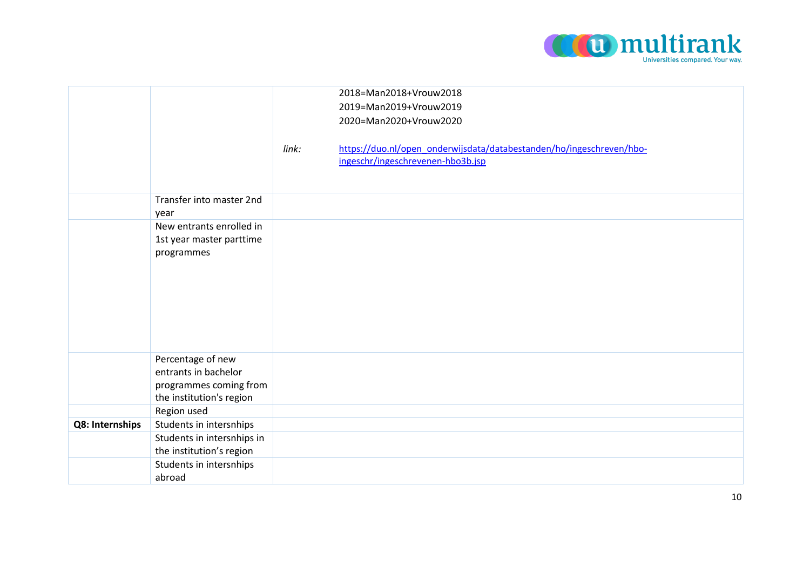

|                 |                                           |       | 2018=Man2018+Vrouw2018                                               |
|-----------------|-------------------------------------------|-------|----------------------------------------------------------------------|
|                 |                                           |       |                                                                      |
|                 |                                           |       | 2019=Man2019+Vrouw2019                                               |
|                 |                                           |       | 2020=Man2020+Vrouw2020                                               |
|                 |                                           |       |                                                                      |
|                 |                                           | link: | https://duo.nl/open_onderwijsdata/databestanden/ho/ingeschreven/hbo- |
|                 |                                           |       | ingeschr/ingeschrevenen-hbo3b.jsp                                    |
|                 |                                           |       |                                                                      |
|                 |                                           |       |                                                                      |
|                 | Transfer into master 2nd                  |       |                                                                      |
|                 | year                                      |       |                                                                      |
|                 | New entrants enrolled in                  |       |                                                                      |
|                 | 1st year master parttime                  |       |                                                                      |
|                 | programmes                                |       |                                                                      |
|                 |                                           |       |                                                                      |
|                 |                                           |       |                                                                      |
|                 |                                           |       |                                                                      |
|                 |                                           |       |                                                                      |
|                 |                                           |       |                                                                      |
|                 |                                           |       |                                                                      |
|                 |                                           |       |                                                                      |
|                 |                                           |       |                                                                      |
|                 | Percentage of new<br>entrants in bachelor |       |                                                                      |
|                 |                                           |       |                                                                      |
|                 | programmes coming from                    |       |                                                                      |
|                 | the institution's region                  |       |                                                                      |
|                 | Region used                               |       |                                                                      |
| Q8: Internships | Students in intersnhips                   |       |                                                                      |
|                 | Students in intersnhips in                |       |                                                                      |
|                 | the institution's region                  |       |                                                                      |
|                 | Students in intersnhips                   |       |                                                                      |
|                 | abroad                                    |       |                                                                      |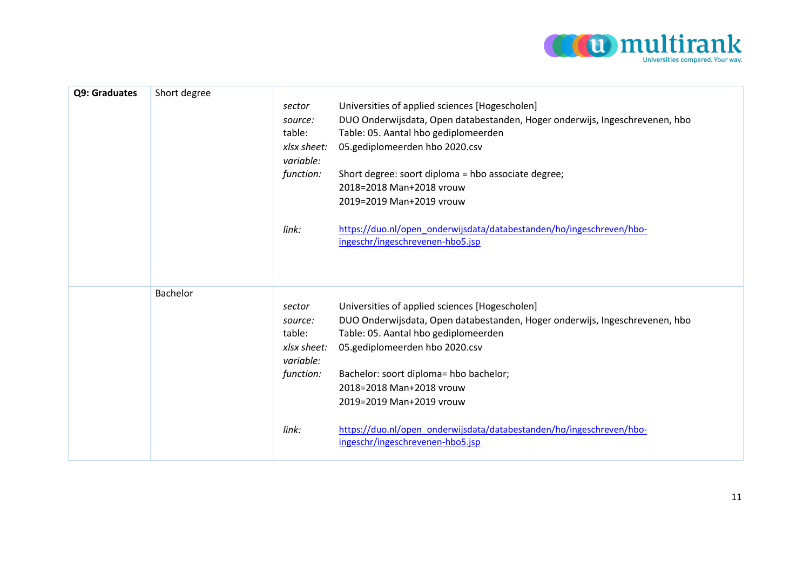

| Q9: Graduates | Short degree | sector<br>source:<br>table:<br>xlsx sheet:<br>variable:<br>function:<br>link: | Universities of applied sciences [Hogescholen]<br>DUO Onderwijsdata, Open databestanden, Hoger onderwijs, Ingeschrevenen, hbo<br>Table: 05. Aantal hbo gediplomeerden<br>05.gediplomeerden hbo 2020.csv<br>Short degree: soort diploma = hbo associate degree;<br>2018=2018 Man+2018 vrouw<br>2019=2019 Man+2019 vrouw<br>https://duo.nl/open_onderwijsdata/databestanden/ho/ingeschreven/hbo-<br>ingeschr/ingeschrevenen-hbo5.jsp |
|---------------|--------------|-------------------------------------------------------------------------------|------------------------------------------------------------------------------------------------------------------------------------------------------------------------------------------------------------------------------------------------------------------------------------------------------------------------------------------------------------------------------------------------------------------------------------|
|               | Bachelor     | sector<br>source:<br>table:<br>xlsx sheet:<br>variable:<br>function:<br>link: | Universities of applied sciences [Hogescholen]<br>DUO Onderwijsdata, Open databestanden, Hoger onderwijs, Ingeschrevenen, hbo<br>Table: 05. Aantal hbo gediplomeerden<br>05.gediplomeerden hbo 2020.csv<br>Bachelor: soort diploma= hbo bachelor;<br>2018=2018 Man+2018 vrouw<br>2019=2019 Man+2019 vrouw<br>https://duo.nl/open_onderwijsdata/databestanden/ho/ingeschreven/hbo-<br>ingeschr/ingeschrevenen-hbo5.jsp              |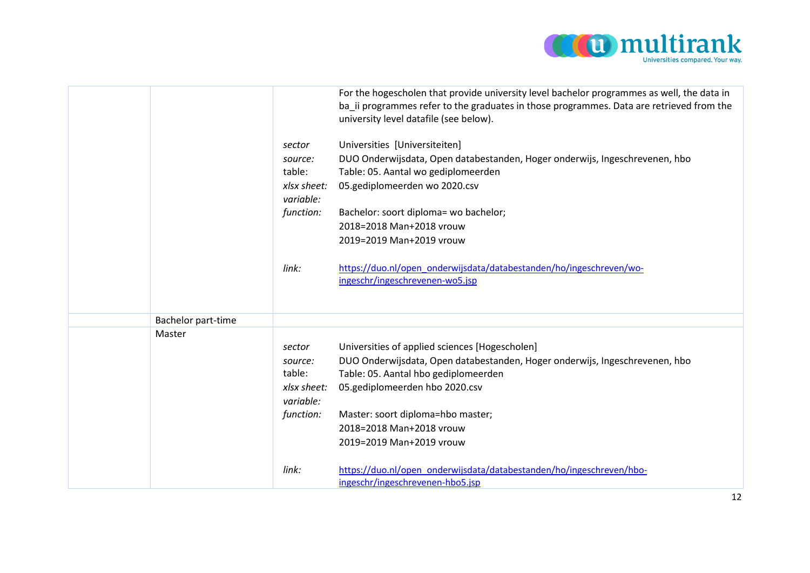

|                    |                          | For the hogescholen that provide university level bachelor programmes as well, the data in<br>ba ii programmes refer to the graduates in those programmes. Data are retrieved from the<br>university level datafile (see below). |
|--------------------|--------------------------|----------------------------------------------------------------------------------------------------------------------------------------------------------------------------------------------------------------------------------|
|                    | sector                   | Universities [Universiteiten]                                                                                                                                                                                                    |
|                    | source:                  | DUO Onderwijsdata, Open databestanden, Hoger onderwijs, Ingeschrevenen, hbo                                                                                                                                                      |
|                    | table:                   | Table: 05. Aantal wo gediplomeerden                                                                                                                                                                                              |
|                    | xlsx sheet:<br>variable: | 05.gediplomeerden wo 2020.csv                                                                                                                                                                                                    |
|                    | function:                | Bachelor: soort diploma= wo bachelor;                                                                                                                                                                                            |
|                    |                          | 2018=2018 Man+2018 vrouw                                                                                                                                                                                                         |
|                    |                          | 2019=2019 Man+2019 vrouw                                                                                                                                                                                                         |
|                    |                          |                                                                                                                                                                                                                                  |
|                    | link:                    | https://duo.nl/open_onderwijsdata/databestanden/ho/ingeschreven/wo-                                                                                                                                                              |
|                    |                          | ingeschr/ingeschrevenen-wo5.jsp                                                                                                                                                                                                  |
|                    |                          |                                                                                                                                                                                                                                  |
| Bachelor part-time |                          |                                                                                                                                                                                                                                  |
| Master             |                          |                                                                                                                                                                                                                                  |
|                    | sector                   | Universities of applied sciences [Hogescholen]                                                                                                                                                                                   |
|                    | source:                  | DUO Onderwijsdata, Open databestanden, Hoger onderwijs, Ingeschrevenen, hbo                                                                                                                                                      |
|                    | table:                   | Table: 05. Aantal hbo gediplomeerden                                                                                                                                                                                             |
|                    | xlsx sheet:              | 05.gediplomeerden hbo 2020.csv                                                                                                                                                                                                   |
|                    | variable:                |                                                                                                                                                                                                                                  |
|                    | function:                | Master: soort diploma=hbo master;                                                                                                                                                                                                |
|                    |                          | 2018=2018 Man+2018 vrouw                                                                                                                                                                                                         |
|                    |                          | 2019=2019 Man+2019 vrouw                                                                                                                                                                                                         |
|                    | link:                    | https://duo.nl/open_onderwijsdata/databestanden/ho/ingeschreven/hbo-                                                                                                                                                             |
|                    |                          | ingeschr/ingeschrevenen-hbo5.jsp                                                                                                                                                                                                 |
|                    |                          |                                                                                                                                                                                                                                  |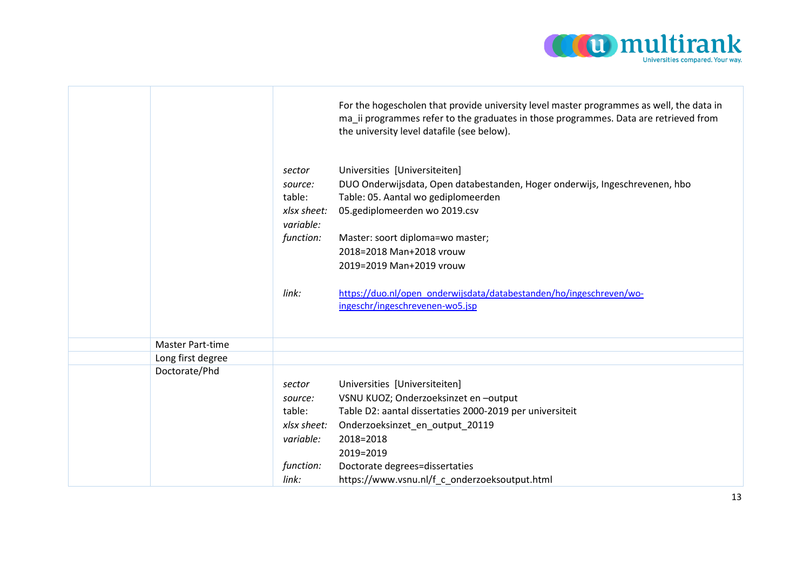

|                   |                          | For the hogescholen that provide university level master programmes as well, the data in<br>ma_ii programmes refer to the graduates in those programmes. Data are retrieved from<br>the university level datafile (see below). |
|-------------------|--------------------------|--------------------------------------------------------------------------------------------------------------------------------------------------------------------------------------------------------------------------------|
|                   | sector                   | Universities [Universiteiten]                                                                                                                                                                                                  |
|                   | source:                  | DUO Onderwijsdata, Open databestanden, Hoger onderwijs, Ingeschrevenen, hbo                                                                                                                                                    |
|                   | table:                   | Table: 05. Aantal wo gediplomeerden                                                                                                                                                                                            |
|                   | xlsx sheet:<br>variable: | 05.gediplomeerden wo 2019.csv                                                                                                                                                                                                  |
|                   | function:                | Master: soort diploma=wo master;                                                                                                                                                                                               |
|                   |                          | 2018=2018 Man+2018 vrouw                                                                                                                                                                                                       |
|                   |                          | 2019=2019 Man+2019 vrouw                                                                                                                                                                                                       |
|                   |                          |                                                                                                                                                                                                                                |
|                   | link:                    | https://duo.nl/open_onderwijsdata/databestanden/ho/ingeschreven/wo-                                                                                                                                                            |
|                   |                          | ingeschr/ingeschrevenen-wo5.jsp                                                                                                                                                                                                |
|                   |                          |                                                                                                                                                                                                                                |
| Master Part-time  |                          |                                                                                                                                                                                                                                |
| Long first degree |                          |                                                                                                                                                                                                                                |
| Doctorate/Phd     |                          |                                                                                                                                                                                                                                |
|                   | sector                   | Universities [Universiteiten]                                                                                                                                                                                                  |
|                   | source:                  | VSNU KUOZ; Onderzoeksinzet en -output                                                                                                                                                                                          |
|                   | table:                   | Table D2: aantal dissertaties 2000-2019 per universiteit                                                                                                                                                                       |
|                   | xlsx sheet:              | Onderzoeksinzet_en_output_20119                                                                                                                                                                                                |
|                   | variable:                | 2018=2018                                                                                                                                                                                                                      |
|                   |                          | 2019=2019                                                                                                                                                                                                                      |
|                   | function:                | Doctorate degrees=dissertaties                                                                                                                                                                                                 |
|                   | link:                    | https://www.vsnu.nl/f c onderzoeksoutput.html                                                                                                                                                                                  |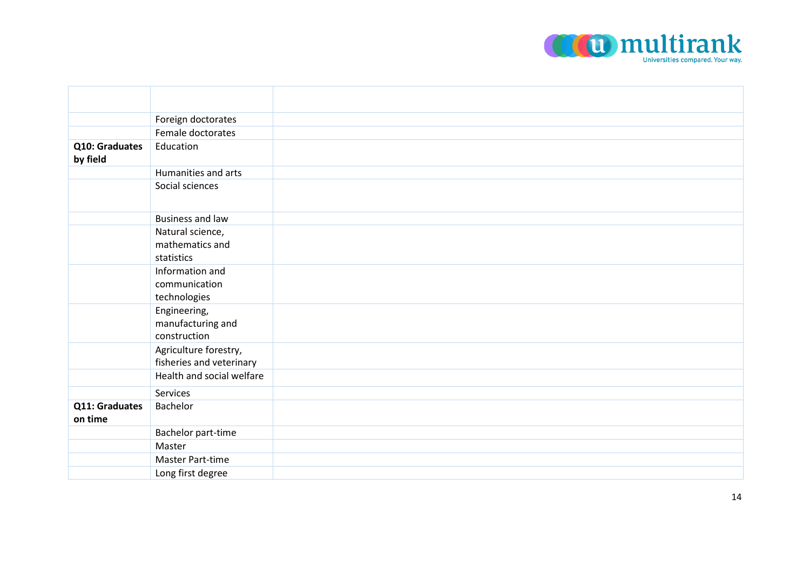

|                            | Foreign doctorates                |  |
|----------------------------|-----------------------------------|--|
|                            | Female doctorates                 |  |
| Q10: Graduates<br>by field | Education                         |  |
|                            | Humanities and arts               |  |
|                            | Social sciences                   |  |
|                            | <b>Business and law</b>           |  |
|                            | Natural science,                  |  |
|                            | mathematics and                   |  |
|                            | statistics                        |  |
|                            | Information and                   |  |
|                            | communication                     |  |
|                            | technologies                      |  |
|                            | Engineering,                      |  |
|                            | manufacturing and<br>construction |  |
|                            | Agriculture forestry,             |  |
|                            | fisheries and veterinary          |  |
|                            | Health and social welfare         |  |
|                            | Services                          |  |
|                            | Bachelor                          |  |
| Q11: Graduates<br>on time  |                                   |  |
|                            | Bachelor part-time                |  |
|                            | Master                            |  |
|                            | Master Part-time                  |  |
|                            | Long first degree                 |  |
|                            |                                   |  |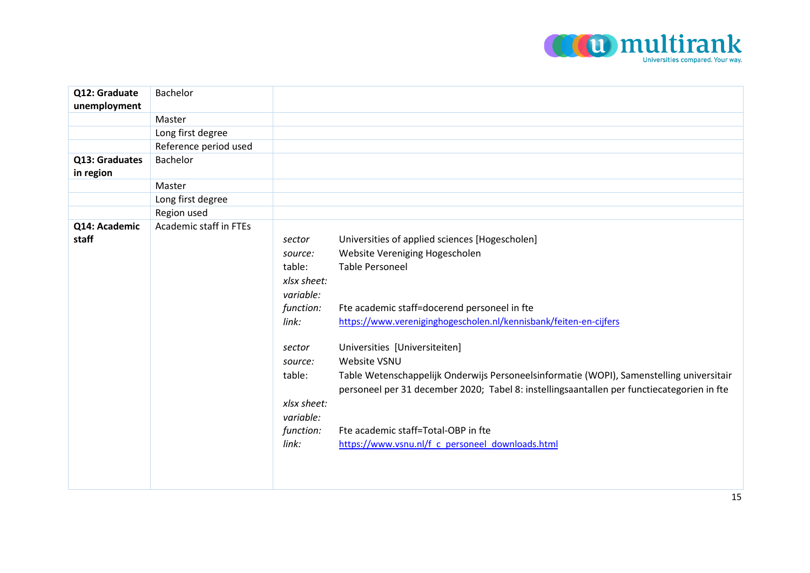

| Q12: Graduate               | Bachelor               |             |                                                                                                                                                                                        |
|-----------------------------|------------------------|-------------|----------------------------------------------------------------------------------------------------------------------------------------------------------------------------------------|
| unemployment                |                        |             |                                                                                                                                                                                        |
|                             | Master                 |             |                                                                                                                                                                                        |
|                             | Long first degree      |             |                                                                                                                                                                                        |
|                             | Reference period used  |             |                                                                                                                                                                                        |
| Q13: Graduates<br>in region | Bachelor               |             |                                                                                                                                                                                        |
|                             | Master                 |             |                                                                                                                                                                                        |
|                             | Long first degree      |             |                                                                                                                                                                                        |
|                             | Region used            |             |                                                                                                                                                                                        |
| Q14: Academic               | Academic staff in FTEs |             |                                                                                                                                                                                        |
| staff                       |                        | sector      | Universities of applied sciences [Hogescholen]                                                                                                                                         |
|                             |                        | source:     | Website Vereniging Hogescholen                                                                                                                                                         |
|                             |                        | table:      | <b>Table Personeel</b>                                                                                                                                                                 |
|                             |                        | xlsx sheet: |                                                                                                                                                                                        |
|                             |                        | variable:   |                                                                                                                                                                                        |
|                             |                        | function:   | Fte academic staff=docerend personeel in fte                                                                                                                                           |
|                             |                        | link:       | https://www.vereniginghogescholen.nl/kennisbank/feiten-en-cijfers                                                                                                                      |
|                             |                        | sector      | Universities [Universiteiten]                                                                                                                                                          |
|                             |                        | source:     | Website VSNU                                                                                                                                                                           |
|                             |                        | table:      | Table Wetenschappelijk Onderwijs Personeelsinformatie (WOPI), Samenstelling universitair<br>personeel per 31 december 2020; Tabel 8: instellingsaantallen per functiecategorien in fte |
|                             |                        | xlsx sheet: |                                                                                                                                                                                        |
|                             |                        | variable:   |                                                                                                                                                                                        |
|                             |                        | function:   | Fte academic staff=Total-OBP in fte                                                                                                                                                    |
|                             |                        | link:       | https://www.vsnu.nl/f c personeel downloads.html                                                                                                                                       |
|                             |                        |             |                                                                                                                                                                                        |
|                             |                        |             |                                                                                                                                                                                        |
|                             |                        |             |                                                                                                                                                                                        |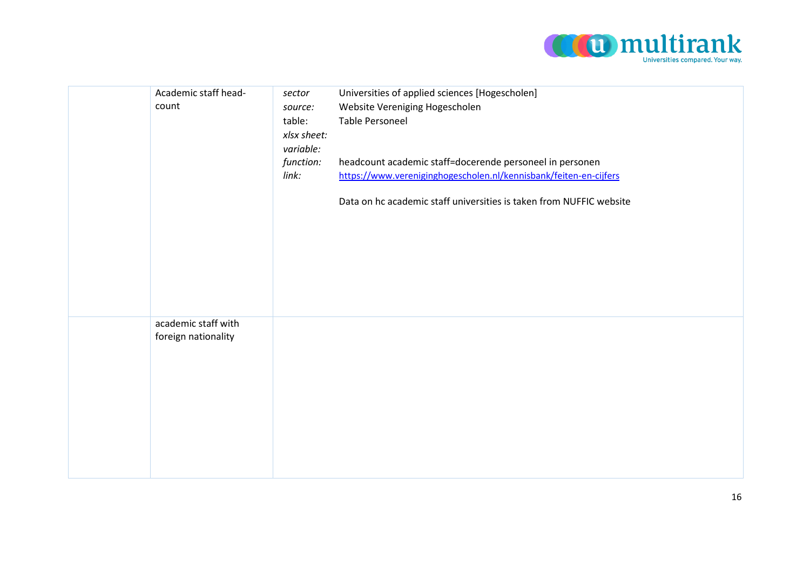

| Academic staff head-<br>count              | sector<br>source:<br>table:<br>xlsx sheet:<br>variable:<br>function:<br>link: | Universities of applied sciences [Hogescholen]<br>Website Vereniging Hogescholen<br><b>Table Personeel</b><br>headcount academic staff=docerende personeel in personen<br>https://www.vereniginghogescholen.nl/kennisbank/feiten-en-cijfers |
|--------------------------------------------|-------------------------------------------------------------------------------|---------------------------------------------------------------------------------------------------------------------------------------------------------------------------------------------------------------------------------------------|
|                                            |                                                                               | Data on hc academic staff universities is taken from NUFFIC website                                                                                                                                                                         |
| academic staff with<br>foreign nationality |                                                                               |                                                                                                                                                                                                                                             |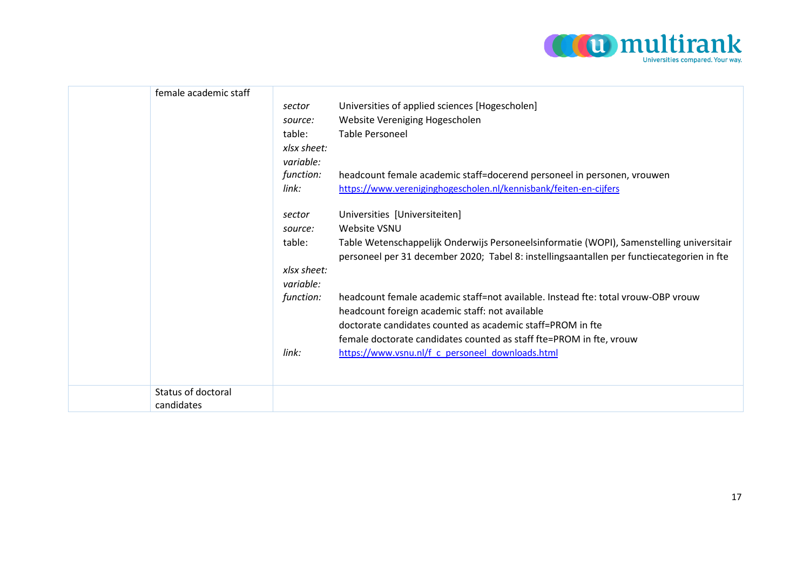

| female academic staff            |                          |                                                                                                                                                                                        |
|----------------------------------|--------------------------|----------------------------------------------------------------------------------------------------------------------------------------------------------------------------------------|
|                                  | sector                   | Universities of applied sciences [Hogescholen]                                                                                                                                         |
|                                  | source:                  | Website Vereniging Hogescholen                                                                                                                                                         |
|                                  | table:                   | Table Personeel                                                                                                                                                                        |
|                                  | xlsx sheet:              |                                                                                                                                                                                        |
|                                  | variable:                |                                                                                                                                                                                        |
|                                  | function:                | headcount female academic staff=docerend personeel in personen, vrouwen                                                                                                                |
|                                  | link:                    | https://www.vereniginghogescholen.nl/kennisbank/feiten-en-cijfers                                                                                                                      |
|                                  | sector                   | Universities [Universiteiten]                                                                                                                                                          |
|                                  | source:                  | Website VSNU                                                                                                                                                                           |
|                                  | table:                   | Table Wetenschappelijk Onderwijs Personeelsinformatie (WOPI), Samenstelling universitair<br>personeel per 31 december 2020; Tabel 8: instellingsaantallen per functiecategorien in fte |
|                                  | xlsx sheet:<br>variable: |                                                                                                                                                                                        |
|                                  | function:                | headcount female academic staff=not available. Instead fte: total vrouw-OBP vrouw<br>headcount foreign academic staff: not available                                                   |
|                                  |                          | doctorate candidates counted as academic staff=PROM in fte                                                                                                                             |
|                                  |                          | female doctorate candidates counted as staff fte=PROM in fte, vrouw                                                                                                                    |
|                                  | link:                    | https://www.vsnu.nl/f c personeel downloads.html                                                                                                                                       |
|                                  |                          |                                                                                                                                                                                        |
| Status of doctoral<br>candidates |                          |                                                                                                                                                                                        |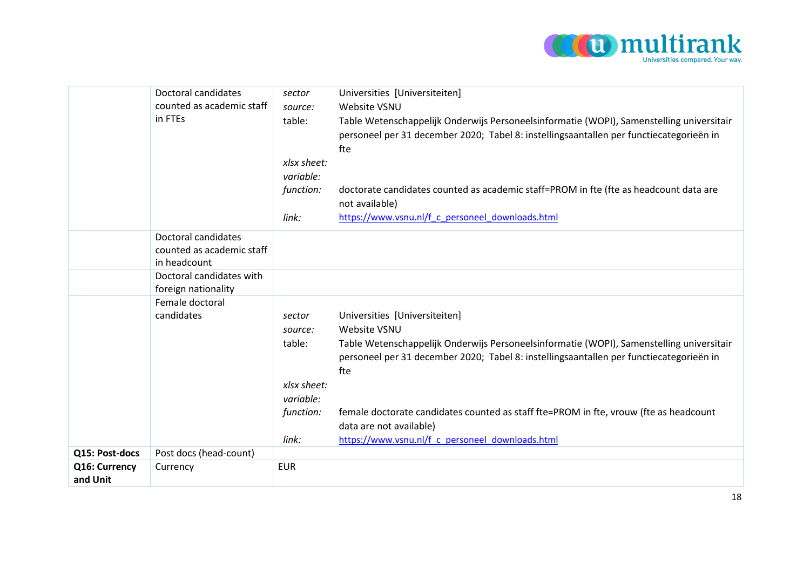

|                           | Doctoral candidates<br>counted as academic staff<br>in FTEs      | sector<br>source:<br>table:<br>xlsx sheet:<br>variable:<br>function:<br>link: | Universities [Universiteiten]<br>Website VSNU<br>Table Wetenschappelijk Onderwijs Personeelsinformatie (WOPI), Samenstelling universitair<br>personeel per 31 december 2020; Tabel 8: instellingsaantallen per functiecategorieën in<br>fte<br>doctorate candidates counted as academic staff=PROM in fte (fte as headcount data are<br>not available)<br>https://www.vsnu.nl/f c personeel downloads.html |
|---------------------------|------------------------------------------------------------------|-------------------------------------------------------------------------------|------------------------------------------------------------------------------------------------------------------------------------------------------------------------------------------------------------------------------------------------------------------------------------------------------------------------------------------------------------------------------------------------------------|
|                           | Doctoral candidates<br>counted as academic staff<br>in headcount |                                                                               |                                                                                                                                                                                                                                                                                                                                                                                                            |
|                           | Doctoral candidates with<br>foreign nationality                  |                                                                               |                                                                                                                                                                                                                                                                                                                                                                                                            |
|                           | Female doctoral<br>candidates                                    | sector<br>source:<br>table:<br>xlsx sheet:<br>variable:                       | Universities [Universiteiten]<br>Website VSNU<br>Table Wetenschappelijk Onderwijs Personeelsinformatie (WOPI), Samenstelling universitair<br>personeel per 31 december 2020; Tabel 8: instellingsaantallen per functiecategorieën in<br>fte                                                                                                                                                                |
|                           |                                                                  | function:<br>link:                                                            | female doctorate candidates counted as staff fte=PROM in fte, vrouw (fte as headcount<br>data are not available)<br>https://www.vsnu.nl/f c personeel downloads.html                                                                                                                                                                                                                                       |
| Q15: Post-docs            | Post docs (head-count)                                           |                                                                               |                                                                                                                                                                                                                                                                                                                                                                                                            |
| Q16: Currency<br>and Unit | Currency                                                         | <b>EUR</b>                                                                    |                                                                                                                                                                                                                                                                                                                                                                                                            |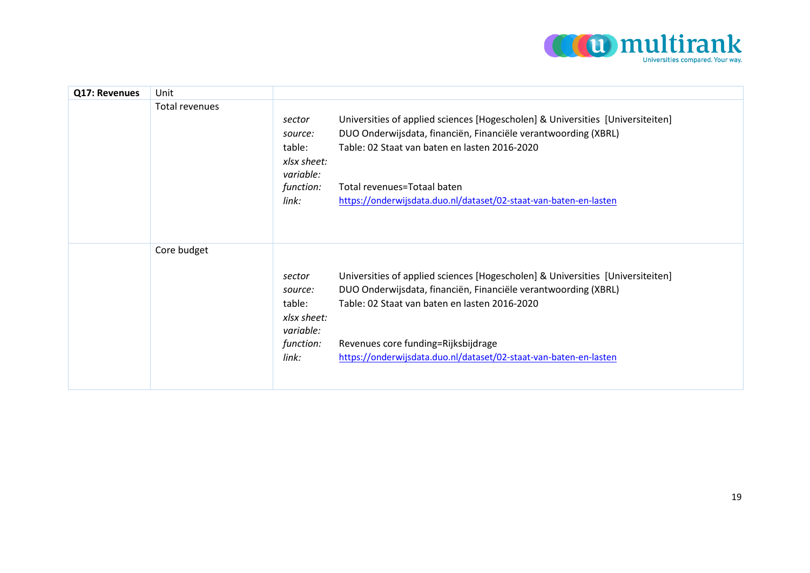

| Q17: Revenues | Unit           |                                                                               |                                                                                                                                                                                                                                                                                                               |
|---------------|----------------|-------------------------------------------------------------------------------|---------------------------------------------------------------------------------------------------------------------------------------------------------------------------------------------------------------------------------------------------------------------------------------------------------------|
|               | Total revenues | sector<br>source:<br>table:<br>xlsx sheet:<br>variable:<br>function:<br>link: | Universities of applied sciences [Hogescholen] & Universities [Universiteiten]<br>DUO Onderwijsdata, financiën, Financiële verantwoording (XBRL)<br>Table: 02 Staat van baten en lasten 2016-2020<br>Total revenues=Totaal baten<br>https://onderwijsdata.duo.nl/dataset/02-staat-van-baten-en-lasten         |
|               | Core budget    | sector<br>source:<br>table:<br>xlsx sheet:<br>variable:<br>function:<br>link: | Universities of applied sciences [Hogescholen] & Universities [Universiteiten]<br>DUO Onderwijsdata, financiën, Financiële verantwoording (XBRL)<br>Table: 02 Staat van baten en lasten 2016-2020<br>Revenues core funding=Rijksbijdrage<br>https://onderwijsdata.duo.nl/dataset/02-staat-van-baten-en-lasten |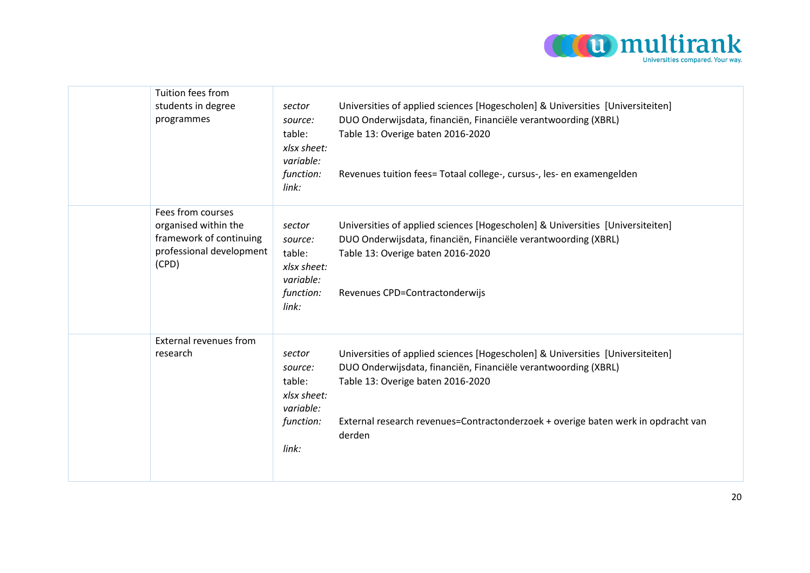

| Tuition fees from<br>students in degree<br>programmes                                                     | sector<br>source:<br>table:<br>xlsx sheet:<br>variable:<br>function:<br>link: | Universities of applied sciences [Hogescholen] & Universities [Universiteiten]<br>DUO Onderwijsdata, financiën, Financiële verantwoording (XBRL)<br>Table 13: Overige baten 2016-2020<br>Revenues tuition fees= Totaal college-, cursus-, les- en examengelden                       |
|-----------------------------------------------------------------------------------------------------------|-------------------------------------------------------------------------------|--------------------------------------------------------------------------------------------------------------------------------------------------------------------------------------------------------------------------------------------------------------------------------------|
| Fees from courses<br>organised within the<br>framework of continuing<br>professional development<br>(CPD) | sector<br>source:<br>table:<br>xlsx sheet:<br>variable:<br>function:<br>link: | Universities of applied sciences [Hogescholen] & Universities [Universiteiten]<br>DUO Onderwijsdata, financiën, Financiële verantwoording (XBRL)<br>Table 13: Overige baten 2016-2020<br>Revenues CPD=Contractonderwijs                                                              |
| External revenues from<br>research                                                                        | sector<br>source:<br>table:<br>xlsx sheet:<br>variable:<br>function:<br>link: | Universities of applied sciences [Hogescholen] & Universities [Universiteiten]<br>DUO Onderwijsdata, financiën, Financiële verantwoording (XBRL)<br>Table 13: Overige baten 2016-2020<br>External research revenues=Contractonderzoek + overige baten werk in opdracht van<br>derden |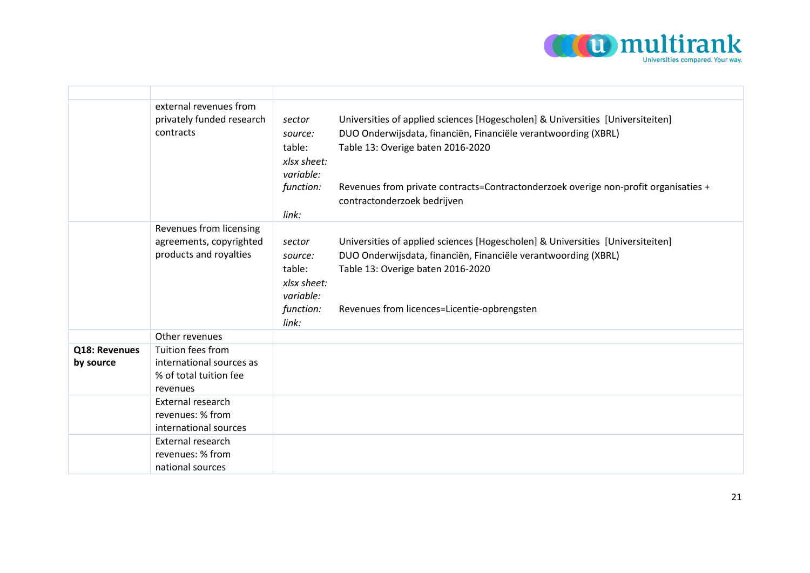

|               | external revenues from<br>privately funded research<br>contracts             | Universities of applied sciences [Hogescholen] & Universities [Universiteiten]<br>sector<br>DUO Onderwijsdata, financiën, Financiële verantwoording (XBRL)<br>source:<br>Table 13: Overige baten 2016-2020<br>table:<br>xlsx sheet:<br>variable:<br>Revenues from private contracts=Contractonderzoek overige non-profit organisaties +<br>function:<br>contractonderzoek bedrijven<br>link: |
|---------------|------------------------------------------------------------------------------|----------------------------------------------------------------------------------------------------------------------------------------------------------------------------------------------------------------------------------------------------------------------------------------------------------------------------------------------------------------------------------------------|
|               | Revenues from licensing<br>agreements, copyrighted<br>products and royalties | Universities of applied sciences [Hogescholen] & Universities [Universiteiten]<br>sector<br>DUO Onderwijsdata, financiën, Financiële verantwoording (XBRL)<br>source:<br>Table 13: Overige baten 2016-2020<br>table:<br>xlsx sheet:<br>variable:<br>function:<br>Revenues from licences=Licentie-opbrengsten<br>link:                                                                        |
|               | Other revenues                                                               |                                                                                                                                                                                                                                                                                                                                                                                              |
| Q18: Revenues | Tuition fees from                                                            |                                                                                                                                                                                                                                                                                                                                                                                              |
| by source     | international sources as<br>% of total tuition fee<br>revenues               |                                                                                                                                                                                                                                                                                                                                                                                              |
|               | External research<br>revenues: % from<br>international sources               |                                                                                                                                                                                                                                                                                                                                                                                              |
|               | External research<br>revenues: % from<br>national sources                    |                                                                                                                                                                                                                                                                                                                                                                                              |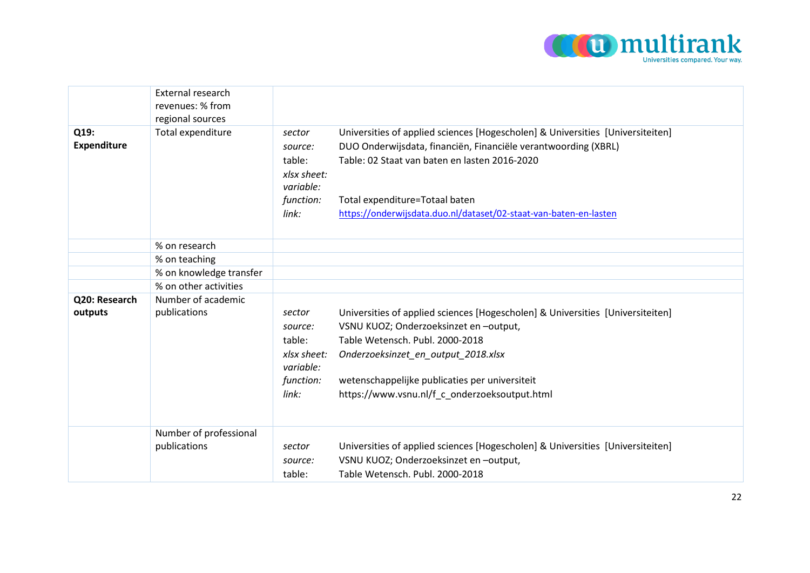

|                            | External research<br>revenues: % from<br>regional sources |                                                                               |                                                                                                                                                                                                                                                                                                          |
|----------------------------|-----------------------------------------------------------|-------------------------------------------------------------------------------|----------------------------------------------------------------------------------------------------------------------------------------------------------------------------------------------------------------------------------------------------------------------------------------------------------|
| Q19:<br><b>Expenditure</b> | Total expenditure                                         | sector<br>source:<br>table:<br>xlsx sheet:<br>variable:<br>function:<br>link: | Universities of applied sciences [Hogescholen] & Universities [Universiteiten]<br>DUO Onderwijsdata, financiën, Financiële verantwoording (XBRL)<br>Table: 02 Staat van baten en lasten 2016-2020<br>Total expenditure=Totaal baten<br>https://onderwijsdata.duo.nl/dataset/02-staat-van-baten-en-lasten |
|                            | % on research                                             |                                                                               |                                                                                                                                                                                                                                                                                                          |
|                            | % on teaching                                             |                                                                               |                                                                                                                                                                                                                                                                                                          |
|                            | % on knowledge transfer                                   |                                                                               |                                                                                                                                                                                                                                                                                                          |
|                            | % on other activities                                     |                                                                               |                                                                                                                                                                                                                                                                                                          |
| Q20: Research<br>outputs   | Number of academic<br>publications                        | sector<br>source:<br>table:<br>xlsx sheet:<br>variable:<br>function:<br>link: | Universities of applied sciences [Hogescholen] & Universities [Universiteiten]<br>VSNU KUOZ; Onderzoeksinzet en -output,<br>Table Wetensch. Publ. 2000-2018<br>Onderzoeksinzet_en_output_2018.xlsx<br>wetenschappelijke publicaties per universiteit<br>https://www.vsnu.nl/f_c_onderzoeksoutput.html    |
|                            | Number of professional<br>publications                    | sector<br>source:<br>table:                                                   | Universities of applied sciences [Hogescholen] & Universities [Universiteiten]<br>VSNU KUOZ; Onderzoeksinzet en -output,<br>Table Wetensch. Publ. 2000-2018                                                                                                                                              |